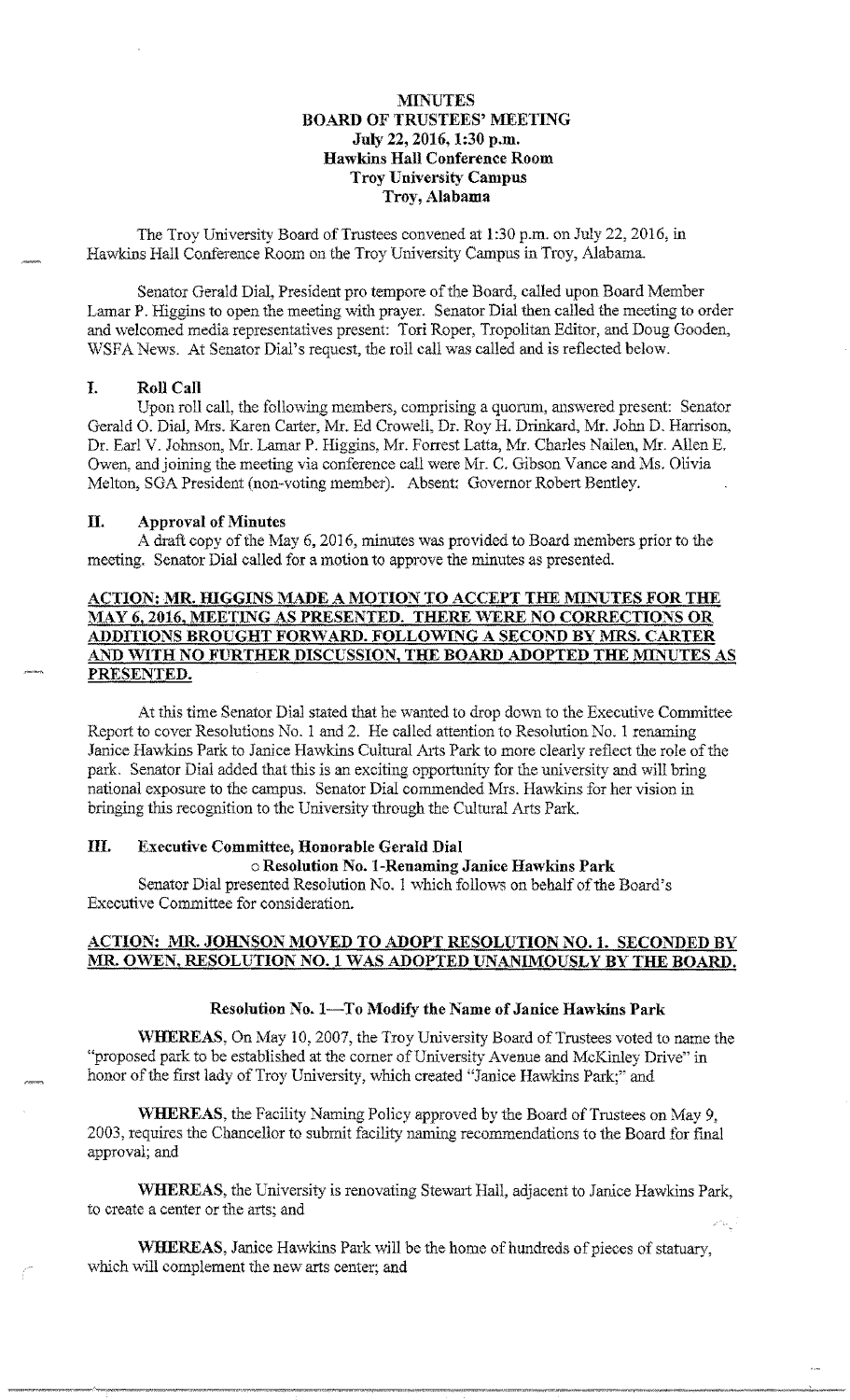## **MINUTES BOARD OF TRUSTEES' MEETING July 22, 2016, 1:30 p.m. Hawkins Hall Conference Room Troy University Campus Troy, Alabama**

The Troy University Board of Trustees convened at 1:30 p.m. on July 22, 2016, in Hawkins Hall Conference Room on the Troy University Campus in Troy, Alabama.

Senator Gerald Dial, President pro tempore of the Board, called upon Board Member Lamar P. Higgins to open the meeting with prayer. Senator Dial then called the meeting to order and welcomed media representatives present: Tori Roper, Tropolitan Editor, and Doug Gooden, WSFA News. At Senator Dial's request, the roll call was called and is reflected below.

#### I. **Roll Call**

Upon roll call, the following members, comprising a quorum, answered present: Senator Gerald O. Dial, Mrs. Karen Carter, Mr. Ed Crowell, Dr. Roy H. Drinkard, Mr. John D. Harrison, Dr. Earl V. Johnson, Mr. Lamar P. Higgins, Mr. Forrest Latta, Mr. Charles Nailen, Mr. Allen E. Owen, and joining the meeting via conference call were Mr. C. Gibson Vance and Ms. Olivia Melton, SGA President (non-voting member). Absent: Governor Robert Bentley.

#### II. **Approval of Minutes**

A draft copy of the May 6, 2016, minutes was provided to Board members prior to the meeting. Senator Dial called for a motion to approve the minutes as presented.

# **ACTION: MR. HIGGINS MADE A MOTION TO ACCEPT THE MINUTES FOR THE MAY 6, 2016, MEETING AS PRESENTED. THERE WERE NO CORRECTIONS OR ADDITIONS BROUGHT FORWARD. FOLLOWING A SECOND BY MRS. CARTER** AND WITH NO FURTHER DISCUSSION, THE BOARD ADOPTED THE MINUTES AS **PRESENTED.**

At this time Senator Dial stated that he wanted to drop dovvn to the Executive Committee Report to cover Resolutions No. 1 and 2. He called attention to Resolution No. 1 renaming Janice Hawkins Park to Janice Hawkins Cultural Arts Park to more clearly reflect the role of the park. Senator Dial added that this is an exciting opportunity for the university and will bring national exposure to the campus. Senator Dial commended Mrs. Hawkins for her vision in bringing this recognition to the University through the Cultural Arts Park.

## III. **Executive Committee, Honorable Gerald Dial**

### o **Resolution No. I-Renaming Janice Hawkins Park**

Senator Dial presented Resolution No. I which follows on behalf of the Board's Executive Committee for consideration.

### **ACTION: MR. JOHNSON MOVED TO ADOPT RESOLUTION NO. 1. SECONDED BY MR. OWEN, RESOLUTION NO. 1 WAS ADOPTED UNANIMOUSLY BY THE BOARD.**

#### Resolution No. 1-To Modify the Name of Janice Hawkins Park

**WHEREAS,** On May 10, 2007, the Troy University Board of Trustees voted to name the "proposed park to be established at the corner of University Avenue and McKinley Drive" in honor of the first lady of Troy University, which created "Janice Hawkins Park;" and

**WHEREAS,** the Facility Naming Policy approved by the Board of Trustees on May 9, 2003, requires the Chancellor to submit facility naming recommendations to the Board for final approval; and

**WHEREAS,** the University is renovating Stewart Hall, adjacent to Janice Hawkins Park, to create a center or the arts; and

**'WlIEREAS,** Janice Hawkins Park will be the home of hundreds of pieces of statuary, which will complement the new arts center; and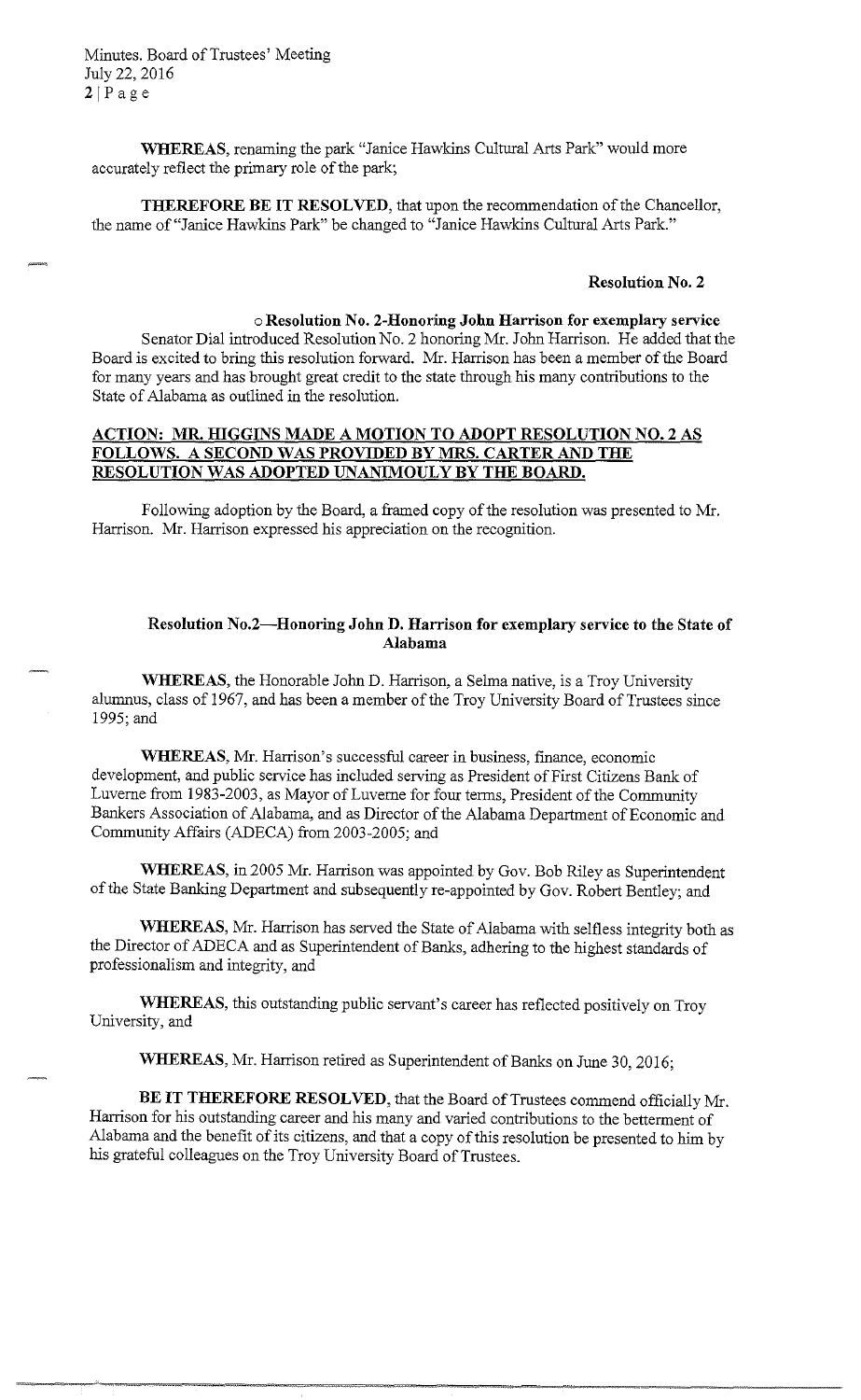Minutes. Board of Trustees' Meeting July 22, 2016  $2|Page$ 

**WHEREAS,** renaming the park "Janice Hawkins Cultural Arts Park" would more accurately reflect the primary role of the park;

**THEREFORE BE IT RESOLVED,** that upon the recommendation of the Chancellor, the name of"Janice Hawkins Park" be changed to "Janice Hawkins Cultural Arts Park."

#### **Resolution No. 2**

### o **Resolution No. 2-Honoring John Harrison for exemplary service**

Senator Dial introduced Resolution No. 2 honoring Mr. John Harrison. He added that the Board is excited to bring this resolution forward. Mr. Harrison has been a member of the Board for many years and has brought great credit to the state through his many contributions to the State of Alabama as outlined in the resolution.

## **ACTION: MR HIGGINS MADE A MOTION TO ADOPT RESOLUTION NO. 2 AS FOLLOWS. A SECOND WAS PROVIDED BY MRS. CARTER AND THE RESOLUTION WAS ADOPTED UNANIMOULY BY THE BOARD.**

Following adoption by the Board, a framed copy of the resolution was presented to Mr. Harrison. Mr. Harrison expressed his appreciation on the recognition.

### **Resolution No.2-Honoring John D. Harrison for exemplary service to the State of Alabama**

**WHEREAS,** the Honorable John D. Harrison, a Selma native, is a Troy University alumnus, class of 1967, and has been a member of the Troy University Board of Trustees since 1995;and

**WHEREAS,** Mr. Harrison's successful career in business, finance, economic development, and public service has included serving as President of First Citizens Bank of Luverne from 1983-2003, as Mayor of Luverne for four terms, President of the Community Bankers Association of Alabama, and as Director of the Alabama Department of Economic and Community Affairs (ADECA) from 2003-2005; and

**WHEREAS,** in 2005 Mr. Harrison was appointed by Gov. Bob Riley as Superintendent of the State Banking Department and subsequently re-appointed by Gov. Robert Bentley; and

**WHEREAS,** Mr. Harrison has served the State of Alabama with selfless integrity both as the Director of ADECA and as Superintendent of Banks, adhering to the highest standards of professionalism and integrity, and

**WHEREAS,** this outstanding public servant's career has reflected positively on Troy University, and

**WHEREAS,** Mr. Harrison retired as Superintendent of Banks on June 30, 2016;

**BE IT THEREFORE RESOLVED,** that the Board of Trustees commend officially Mr. Harrison for his outstanding career and his many and varied contributions to the betterment of Alabama and the benefit of its citizens, and that a copy of this resolution be presented to him by his grateful colleagues on the Troy University Board of Trustees.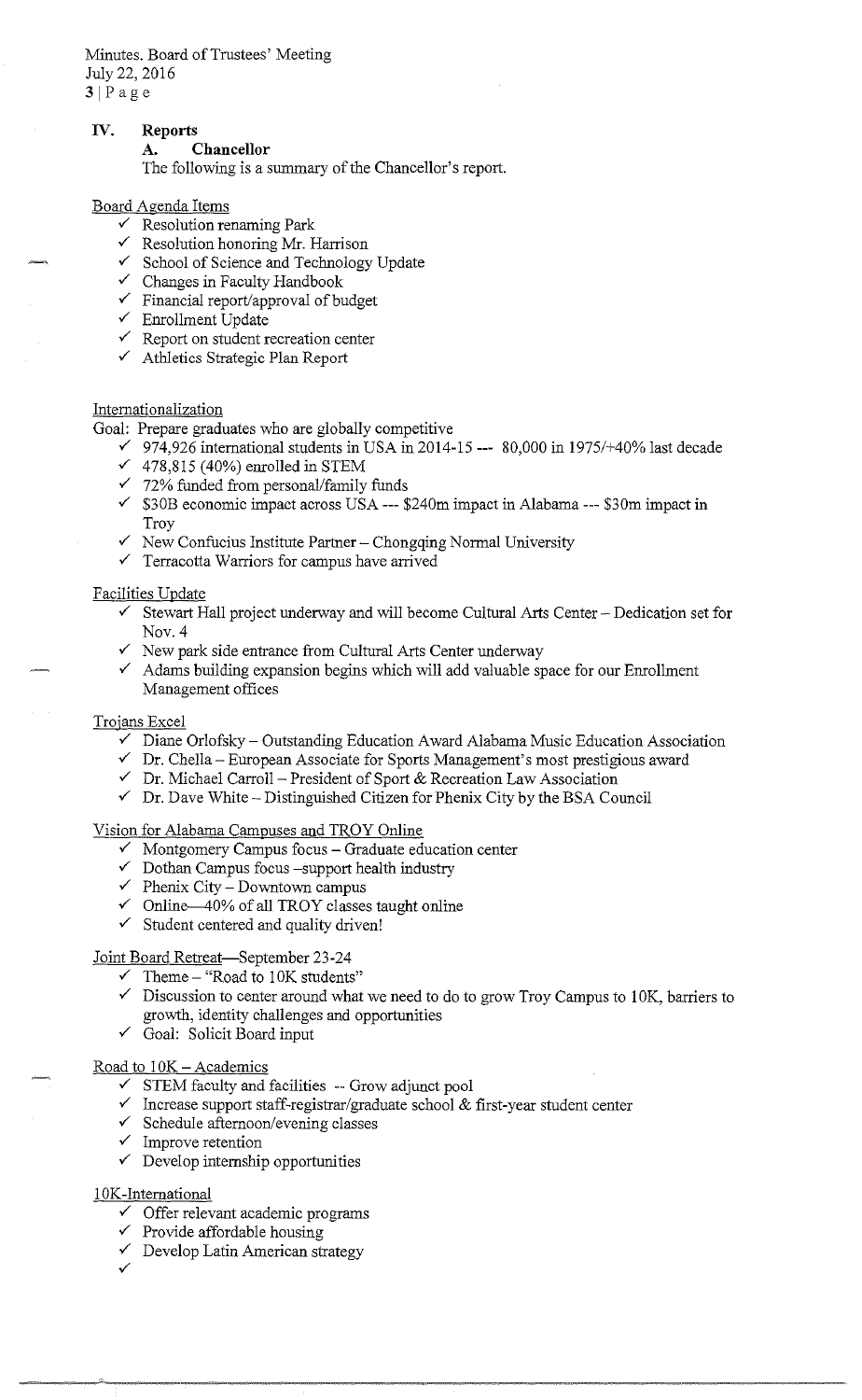Minutes. Board of Trustees' Meeting July 22, 2016 3IPage

## **IV. Reports**

### **A. Chancellor**

The following is a summary of the Chancellor's report.

### Board Agenda Items

- $\checkmark$  Resolution renaming Park
- $\checkmark$  Resolution honoring Mr. Harrison
- ✓ School of Science and Technology Update
- $\checkmark$  Changes in Faculty Handbook
- $\checkmark$  Financial report/approval of budget
- $\checkmark$  Enrollment Update
- $\checkmark$  Report on student recreation center
- ✓ Athletics Strategic Plan Report

### Internationalization

Goal: Prepare graduates who are globally competitive

- $\checkmark$  974,926 international students in USA in 2014-15 --- 80,000 in 1975/+40% last decade
- $\checkmark$  478,815 (40%) enrolled in STEM
- $\times$  72% funded from personal/family funds
- ✓ \$30B economic impact across USA --- \$240m impact in Alabama --- \$30m impact in Troy
- ✓ New Confucius Institute Partner- Chongqing Normal University
- $\checkmark$  Terracotta Warriors for campus have arrived

### Facilities Update

- $\checkmark$  Stewart Hall project underway and will become Cultural Arts Center Dedication set for Nov. 4
- $\checkmark$  New park side entrance from Cultural Arts Center underway
- $\checkmark$  Adams building expansion begins which will add valuable space for our Enrollment Management offices

### Trojans Excel

- $\checkmark$  Diane Orlofsky Outstanding Education Award Alabama Music Education Association
- $\checkmark$  Dr. Chella European Associate for Sports Management's most prestigious award
- $\checkmark$  Dr. Michael Carroll President of Sport & Recreation Law Association
- $\checkmark$  Dr. Dave White Distinguished Citizen for Phenix City by the BSA Council

### Vision for Alabama Campuses and TROY Online

- $\checkmark$  Montgomery Campus focus Graduate education center
- $\checkmark$  Dothan Campus focus -support health industry
- $\checkmark$  Phenix City Downtown campus
- $\checkmark$  Online—40% of all TROY classes taught online
- $\checkmark$  Student centered and quality driven!

# Joint Board Retreat-September 23-24

- $\checkmark$  Theme "Road to 10K students"
- $\checkmark$  Discussion to center around what we need to do to grow Troy Campus to 10K, barriers to growth, identity challenges and opportunities
- ✓ Goal: Solicit Board input

### Road to  $10K -$  Academics

- $\checkmark$  STEM faculty and facilities  $-$  Grow adjunct pool
- ✓ Increase support staff-registrar/graduate school & first-year student center
- $\checkmark$  Schedule afternoon/evening classes
- $\checkmark$  Improve retention
- $\checkmark$  Develop internship opportunities

### 10K-International

- $\checkmark$  Offer relevant academic programs
- $\checkmark~$  Provide affordable housing
- $\checkmark$  Develop Latin American strategy
- ✓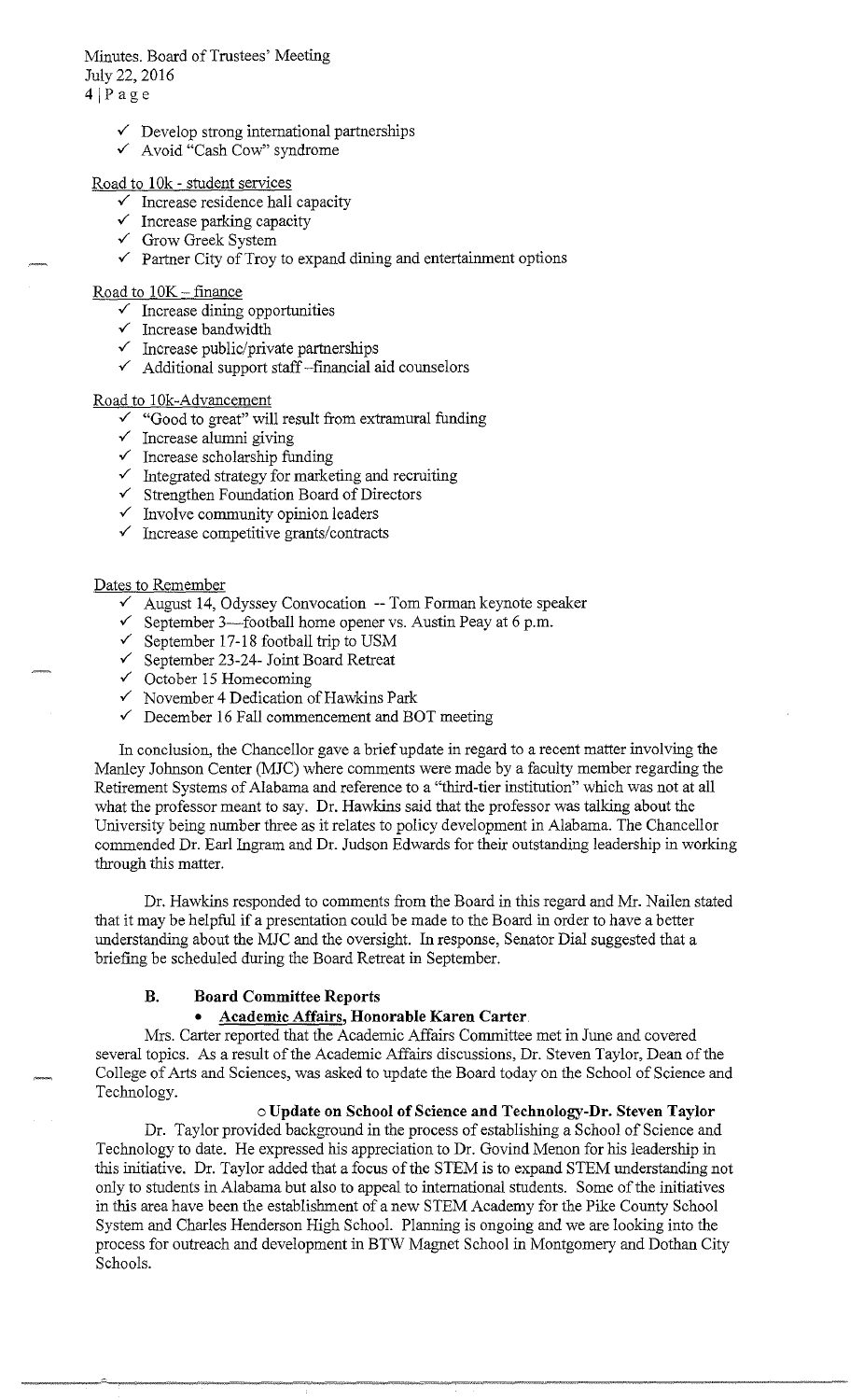# Minutes. Board of Trustees' Meeting July 22, 2016

4jPage

- $\checkmark$  Develop strong international partnerships
- ✓ Avoid "Cash Cow" syndrome

# Road to 10k - student services

- $\checkmark$  Increase residence hall capacity
- $\checkmark$  Increase parking capacity
- ✓ Grow Greek System
- $\checkmark$  Partner City of Troy to expand dining and entertainment options

Road to  $10K - finance$ 

- $\checkmark$  Increase dining opportunities
- ✓ Increase bandwidth
- ✓ Increase public/private partnerships
- ✓ Additional support staff -financial aid counselors

# Road to !Ok-Advancement

- ✓ "Good to great" will result from extramural funding
- $\checkmark$  Increase alumni giving
- $\checkmark$  Increase scholarship funding
- $\checkmark$  Integrated strategy for marketing and recruiting
- ✓ Strengthen Foundation Board of Directors
- $\checkmark$  Involve community opinion leaders
- ✓ Increase competitive grants/contracts

# Dates to Remember

- $\checkmark$  August 14, Odyssey Convocation -- Tom Forman keynote speaker
- $\checkmark$  September 3—football home opener vs. Austin Peay at 6 p.m.
- $\checkmark$  September 17-18 football trip to USM
- ✓ September 23-24- Joint Board Retreat
- $\checkmark$  October 15 Homecoming
- $\checkmark$  November 4 Dedication of Hawkins Park
- $\checkmark$  December 16 Fall commencement and BOT meeting

In conclusion, the Chancellor gave a brief update in regard to a recent matter involving the Manley Johnson Center (MJC) where comments were made by a faculty member regarding the Retirement Systems of Alabama and reference to a "third-tier institution" which was not at all what the professor meant to say. Dr. Hawkins said that the professor was talking about the University being number three as it relates to policy development in Alabama. The Chancellor commended Dr. Earl Ingram and Dr. Judson Edwards for their outstanding leadership in working through this matter.

Dr. Hawkins responded to comments from the Board in this regard and Mr. Nailen stated that it may be helpful if a presentation could be made to the Board in order to have a better understanding about the MJC and the oversight. In response, Senator Dial suggested that a briefing be scheduled during the Board Retreat in September.

# **B. Board Committee Reports**

# • **Academic Affairs, Honorable Karen Carter.**

-----~ .. ---------- ·-~· --------------------

Mrs. Carter reported that the Academic Affairs Committee met in June and covered several topics. As a result of the Academic Affairs discussions, Dr. Steven Taylor, Dean of the College of Arts and Sciences, was asked to update the Board today on the School of Science and Technology.

# o **Update on School of Science and Technology-Dr. Steven Taylor**

Dr. Taylor provided background in the process of establishing a School of Science and Technology to date. He expressed his appreciation to Dr. Govind Menon for his leadership in this initiative. Dr. Taylor added that a focus of the STEM is to expand STEM understanding not only to students in Alabama but also to appeal to international students. Some of the initiatives in this area have been the establishment of a new STEM Academy for the Pike County School System and Charles Henderson High School. Planning is ongoing and we are looking into the process for outreach and development in BTW Magnet School in Montgomery and Dothan City Schools.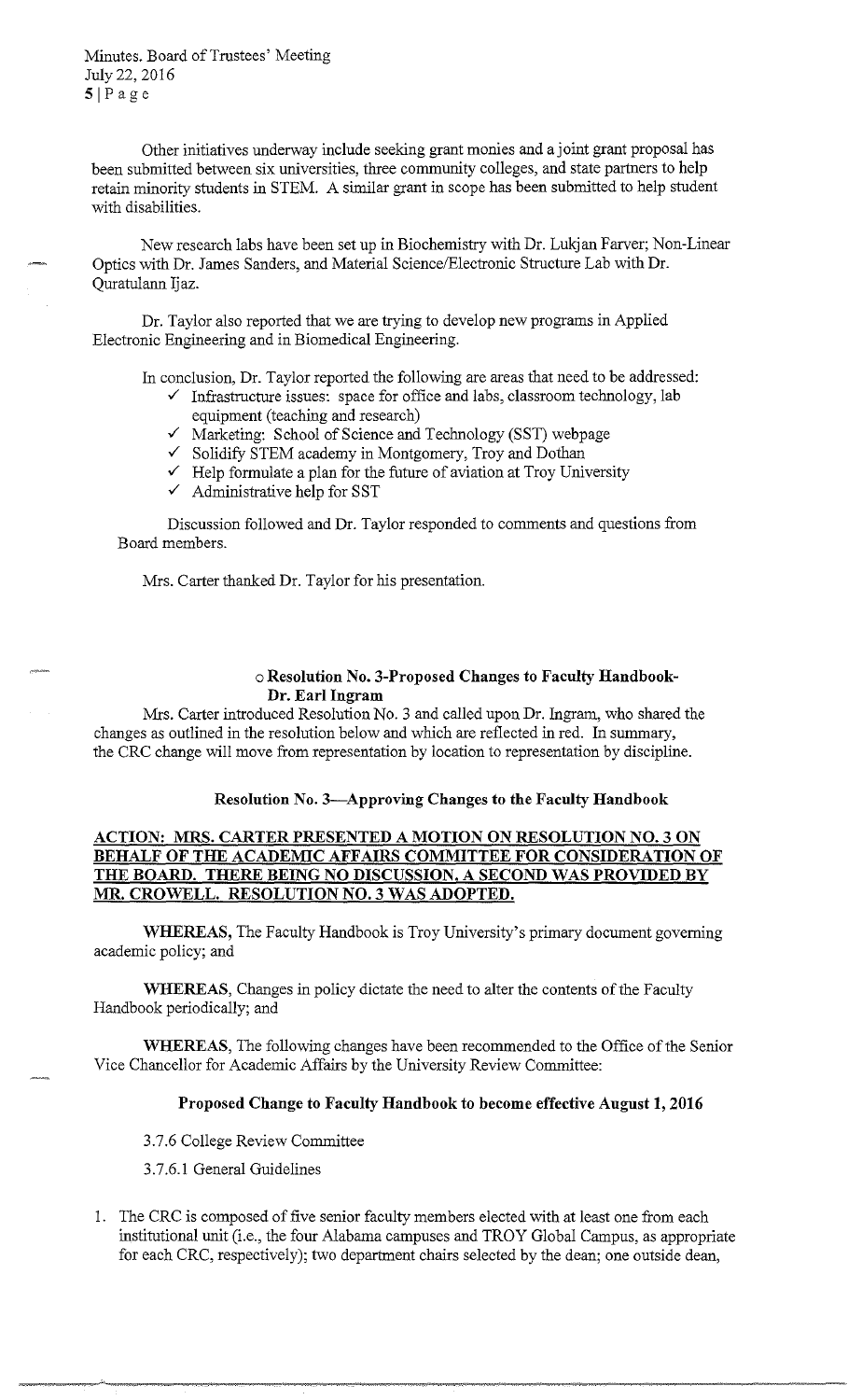Minutes. Board of Trustees' Meeting July 22, 2016 SIPage

Other initiatives underway include seeking grant monies and a joint grant proposal has been submitted between six universities, three community colleges, and state partners to help retain minority students in STEM. A similar grant in scope has been submitted to help student with disabilities.

New research labs have been set up in Biochemistry with Dr. Lukjan Farver; Non-Linear Optics with Dr. James Sanders, and Material Science/Electronic Structure Lab with Dr. Quratulann Ijaz.

Dr. Taylor also reported that we are trying to develop new programs in Applied Electronic Engineering and in Biomedical Engineering.

In conclusion, Dr. Taylor reported the following are areas that need to be addressed:

- ✓ Infrastructure issues: space for office and labs, classroom technology, lab equipment (teaching and research)
- ✓ Marketing: School of Science and Technology (SST) webpage
- ✓ Solidify STEM academy in Montgomery, Troy and Dothan
- $\checkmark$  Help formulate a plan for the future of aviation at Troy University
- $\checkmark$  Administrative help for SST

Discussion followed and Dr. Taylor responded to comments and questions from Board members.

Mrs. Carter thanked Dr. Taylor for his presentation.

### o **Resolution No. 3-Proposed Changes to Faculty Handbook-Dr. Earl Ingram**

Mrs. Carter introduced Resolution No. 3 and called upon Dr. Ingram, who shared the changes as outlined in the resolution below and which are reflected in red. In summary, the CRC change will move from representation by location to representation by discipline.

## **Resolution No. 3-Approving Changes to the Faculty Handbook**

# **ACTION: MRS. CARTER PRESENTED A MOTION ON RESOLUTION NO. 3 ON BEHALF OF THE ACADEMIC AFFAIRS COMMITTEE FOR CONSIDERATION OF**  THE BOARD. THERE BEING NO DISCUSSION, A SECOND WAS PROVIDED BY **MR. CROWELL. RESOLUTION NO. 3 WAS ADOPTED.**

**WHEREAS,** The Faculty Handbook is Troy University's primary document governing academic policy; and

**WHEREAS,** Changes in policy dictate the need to alter the contents of the Faculty Handbook periodically; and

**WHEREAS,** The following changes have been recommended to the Office of the Senior Vice Chancellor for Academic Affairs by the University Review Committee:

### **Proposed Change to Faculty Handbook to become effective August 1, 2016**

3.7.6 College Review Committee

- 3.7.6.l General Guidelines
- 1. The CRC is composed of five senior faculty members elected with at least one from each institutional unit (i.e., the four Alabama campuses and TROY Global Campus, as appropriate for each CRC, respectively); two department chairs selected by the dean; one outside dean,

--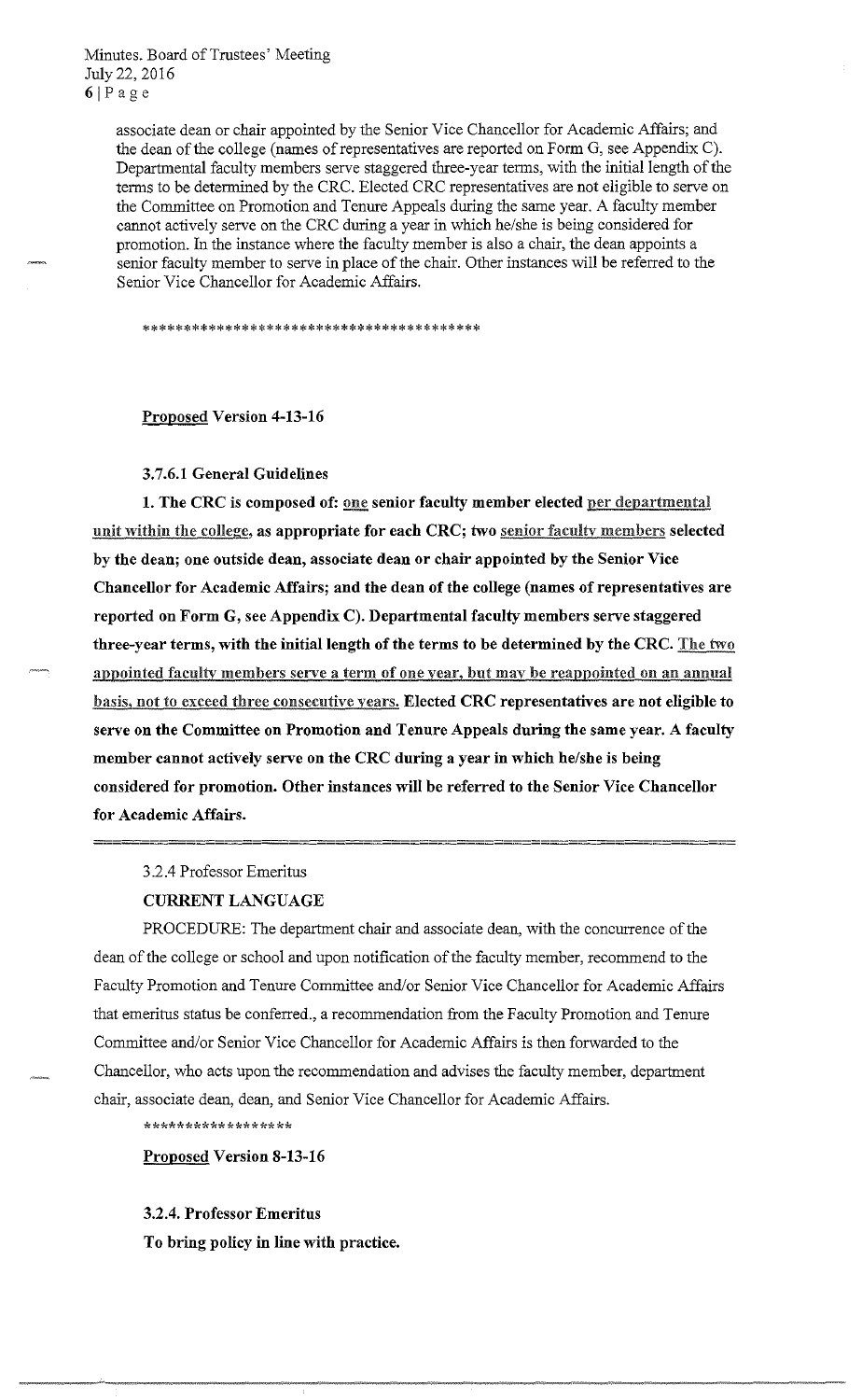Minutes. Board of Trustees' Meeting July 22, 2016  $6|Page$ 

> associate dean or chair appointed by the Senior Vice Chancellor for Academic Affairs; and the dean of the college (names of representatives are reported on Form G, see Appendix C). Departmental faculty members serve staggered three-year terms, with the initial length of the terms to be determined by the CRC. Elected CRC representatives are not eligible to serve on the Committee on Promotion and Tenure Appeals during the same year. A faculty member cannot actively serve on the CRC during a year in which he/she is being considered for promotion. In the instance where the faculty member is also a chair, the dean appoints a senior faculty member to serve in place of the chair. Other instances will be referred to the Senior Vice Chancellor for Academic Affairs.

\*\*\*\*\*\*\*\*\*\*\*\*\*\*\*\*\*\*\*\*\*\*\*\*\*\*\*\*\*\*\*\*\*\*\*\*\*\*\*\*\*

### **Proposed Version 4-13-16**

**3.7.6.1 General Guidelines** 

**1. The CRC is composed of: one senior faculty member elected per departmental** unit within the college, as appropriate for each CRC; two senior faculty members selected **by the dean; one outside dean, associate dean or chair appointed by the Senior Vice Chancellor for Academic Affairs; and the dean of the college (names of representatives are reported on Form G, see Appendix C). Departmental faculty members serve staggered three-year terms, with the initial length of the terms to be determined by the CRC.** The two appointed faculty members serve a term of one year, but may be reappointed on an annual basis, not to exceed three consecutive years. **Elected CRC representatives are not eligible to serve on the Committee on Promotion and Tenure Appeals during the same year. A faculty member cannot actively serve on the CRC during a year in which he/she is being considered for promotion. Other instances will be referred to the Senior Vice Chancellor for Academic Affairs.** 

3.2.4 Professor Emeritus

### **CURRENT LANGUAGE**

PROCEDURE: The department chair and associate dean, with the concurrence of the dean of the college or school and upon notification of the faculty member, recommend to the Faculty Promotion and Tenure Committee and/or Senior Vice Chancellor for Academic Affairs that emeritus status be conferred., a recommendation from the Faculty Promotion and Tenure Committee and/or Senior Vice Chancellor for Academic Affairs is then forwarded to the Chancellor, who acts upon the recommendation and advises the faculty member, department chair, associate dean, dean, and Senior Vice Chancellor for Academic Affairs.

\*\*\*\*\*\*\*\*\*\*\*\*\*\*\*\*

**Proposed Version 8-13-16** 

### **3.2.4. Professor Emeritus**

**To bring policy in line with practice.**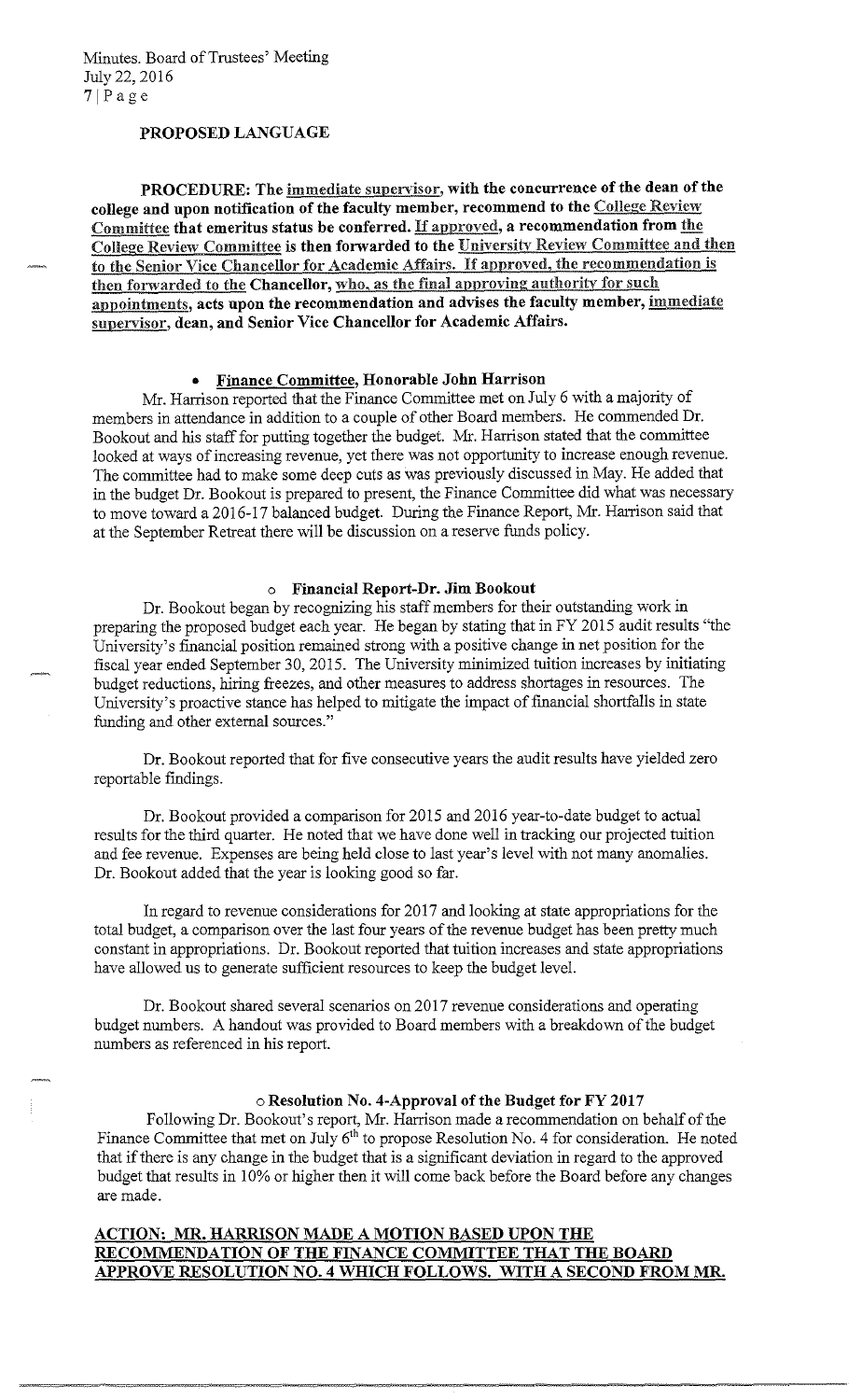### **PROPOSED LANGUAGE**

PROCEDURE: The *immediate supervisor*, with the concurrence of the dean of the **college and upon notification of the faculty member, recommend to the** College Review Committee **that emeritus status be conferred.** If approved, **a recommendation from** the College Review Committee **is then forwarded to the** Universitv Review Committee and then to the Senior Vice Chancellor for Academic Affairs. If approved, the recommendation is then forwarded to the **Chancellor,** who, as the final approving authority for such appointments, **acts upon the recommendation and advises the faculty member,** immediate supervisor, **dean, and Senior Vice Chancellor for Academic Affairs.** 

### • **Finance Committee, Honorable John Harrison**

Mr. Harrison reported that the Finance Committee met on July 6 with a majority of members in attendance **in** addition to a couple of other Board members. He commended Dr. Bookout and his staff for putting together the budget. Mr. Harrison stated that the committee looked at ways of increasing revenue, yet there was not opportunity to increase enough revenue. The committee had to make some deep cuts as was previously discussed in May. He added that in the budget Dr. Bookout is prepared to present, the Finance Committee did what was necessary to move toward a 2016-17 balanced budget. During the Finance Report, Mr. Harrison said that at the September Retreat there will be discussion on a reserve funds policy.

### o **Financial Report-Dr. Jim Bookout**

Dr. Bookout began by recognizing his staff members for their outstanding work in preparing the proposed budget each year. He began by stating that in FY 2015 audit results "the University's financial position remained strong with a positive change in net position for the fiscal year ended September 30, 2015. The University minimized tuition increases by initiating budget reductions, hiring freezes, and other measures to address shortages in resources. The University's proactive stance has helped to mitigate the impact of financial shortfalls in state funding and other external sources."

Dr. Bookout reported that for five consecutive years the audit results have yielded zero reportable findings.

Dr. Bookout provided a comparison for 2015 and 2016 year-to-date budget to actual results for the third quarter. He noted that we have done well in tracking our projected tuition and fee revenue. Expenses are being held close to last year's level with not many anomalies. Dr. Bookout added that the year is looking good so far.

In regard to revenue considerations for 2017 and looking at state appropriations for the total budget, a comparison over the last four years of the revenue budget has been pretty much constant in appropriations. Dr. Bookout reported that tuition increases and state appropriations have allowed us to generate sufficient resources to keep the budget level.

Dr. Bookout shared several scenarios on 2017 revenue considerations and operating budget numbers. A handout was provided to Board members with a breakdown of the budget numbers as referenced in his report.

### o **Resolution No. 4-Approval of the Budget for FY 2017**

Following Dr. Bookout's report, Mr. Harrison made a recommendation on behalf of the Finance Committee that met on July  $6<sup>th</sup>$  to propose Resolution No. 4 for consideration. He noted that if there is any change in the budget that is a significant deviation in regard to the approved budget that results in 10% or higher then it will come back before the Board before any changes are made.

## **ACTION: MR. HARRISON MADE A MOTION BASED UPON THE RECOMMENDATION OF THE FINANCE COMMITTEE THAT THE BOARD APPROVE RESOLUTION NO. 4 WHICH FOLLOWS. WITH A SECOND FROM MR**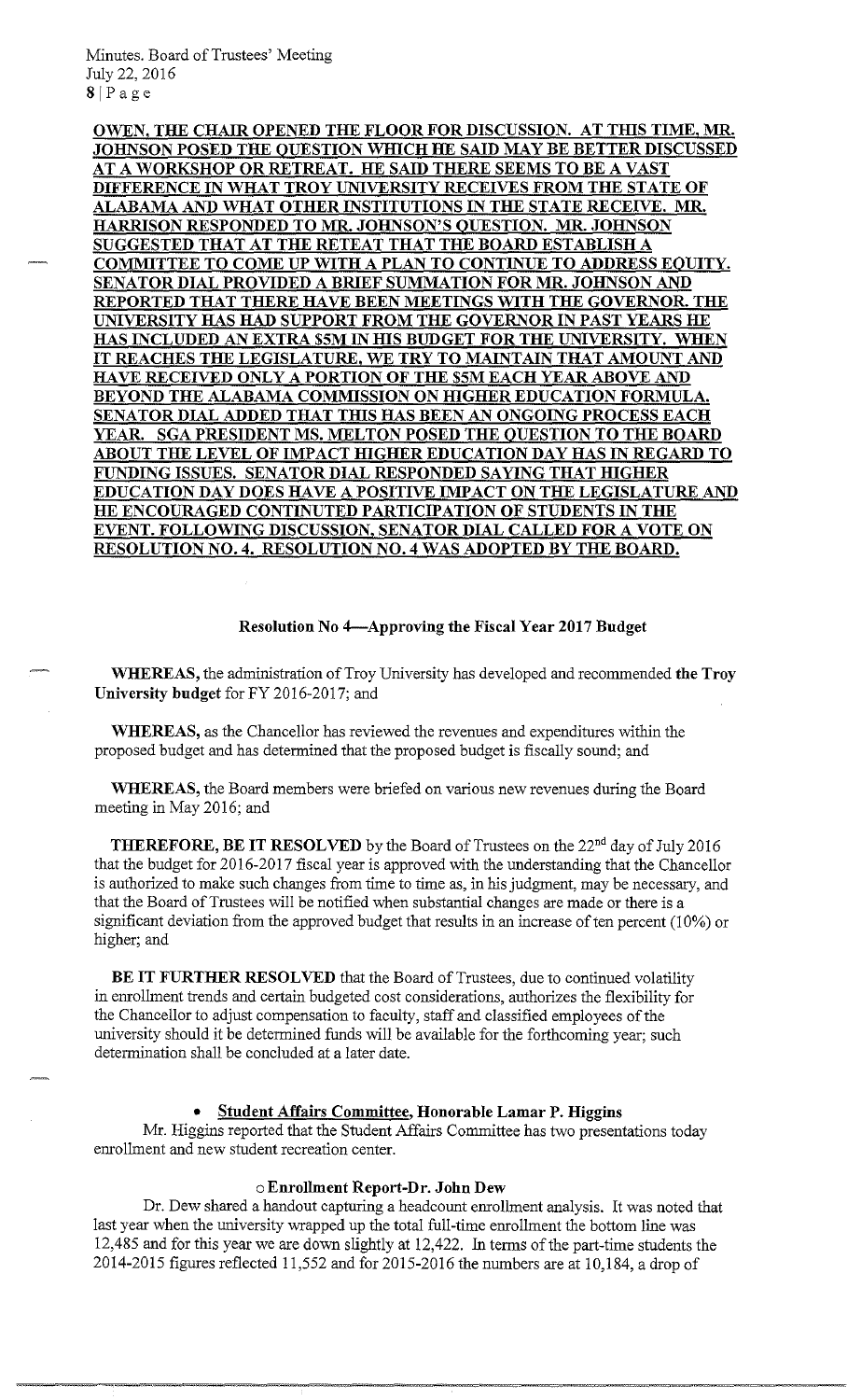Minutes. Board of Trustees' Meeting July 22, 2016 8[Page

**OWEN, THE CHAIR OPENED THE FLOOR FOR DISCUSSION. AT TIDS TIME, MR. JOHNSON POSED THE QUESTION WHICH HE SAID MAY BE BETTER DISCUSSED AT A WORKSHOP OR RETREAT. HE SAID THERE SEEMS TOBE A VAST DIFFERENCE IN WHAT TROY UNIVERSITY RECEIVES FROM THE STATE OF ALABAMA AND WHAT OTHER INSTITUTIONS IN THE STATE RECEIVE. MR. HARRISON RESPONDED TO MR JOHNSON'S QUESTION. MR. JOHNSON SUGGESTED THAT AT THE RETEAT THAT THE BOARD ESTABLISH A COMMITTEE TO COME UP WITH A PLAN TO CONTINUE TO ADDRESS EQUITY. SENATOR DIAL PROVIDED A BRIEF SUMMATION FOR MR. JOHNSON AND REPORTED THAT THERE HA VE BEEN MEETINGS WITH THE GOVERNOR. THE UNIVERSITY HAS HAD SUPPORT FROM THE GOVERNOR IN PAST YEARS HE HAS INCLUDED AN EXTRA \$5M IN HIS BUDGET FOR THE UNIVERSITY. WHEN IT REACHES THE LEGISLATURE, WE TRY TO MAINTAIN THAT AMOUNT AND HA VE RECEIVED ONLY A PORTION OF THE \$SM EACH YEAR ABOVE AND**  BEYOND THE ALABAMA COMMISSION ON HIGHER EDUCATION FORMULA. **<u>SENATOR DIAL ADDED THAT THIS HAS BEEN AN ONGOING PROCESS EACH</u> YEAR. SGA PRESIDENT MS. MELTON POSED THE QUESTION TO THE BOARD ABOUT THE LEVEL OF IMPACT IDGHER EDUCATION DAY HAS IN REGARD TO**  FUNDING ISSUES. SENATOR DIAL RESPONDED SAYING THAT HIGHER **EDUCATION DAY DOES HAVE A POSITIVE IMPACT ON THE LEGISLATURE AND HE ENCOURAGED CONTINUTED PARTICIPATION OF STUDENTS IN THE EVENT. FOLLOWING DISCUSSION, SENATOR DIAL CALLED FOR A VOTE ON RESOLUTION NO. 4. RESOLUTION NO. 4 WAS ADOPTED BY THE BOARD.** 

### **Resolution No 4-Approving the Fiscal Year 2017 Budget**

**WHEREAS,** the administration of Troy University has developed and recommended **the Troy University budget** for FY 2016-2017; and

**WHEREAS,** as the Chancellor has reviewed the revenues and expenditures within the proposed budget and has determined that the proposed budget is fiscally sound; and

**WHEREAS,** the Board members were briefed on various new revenues during the Board meeting in May 2016; and

**THEREFORE, BE IT RESOLVED** by the Board of Trustees on the 22<sup>nd</sup> day of July 2016 that the budget for 2016-2017 fiscal year is approved with the understanding that the Chancellor is authorized to make such changes from time to time as, in his judgment, may be necessary, and that the Board of Trustees will be notified when substantial changes are made or there is a significant deviation from the approved budget that results in an increase of ten percent (10%) or higher; and

**BE IT FURTHER RESOLVED** that the Board of Trustees, due to continued volatility in enrollment trends and certain budgeted cost considerations, authorizes the flexibility for the Chancellor to adjust compensation to faculty, staff and classified employees of the university should it be determined funds will be available for the forthcoming year; such determination shall be concluded at a later date.

#### • **Student Affairs Committee, Honorable Lamar P. Higgins**

Mr. Higgins reported that the Student Affairs Committee has two presentations today enrollment and new student recreation center.

### o **Enrollment Report-Dr. John Dew**

Dr. Dew shared a handout capturing a headcount enrollment analysis. It was noted that last year when the university wrapped up the total full-time enrollment the bottom line was 12,485 and for this year we are down slightly at 12,422. In terms of the part-time students the 2014-2015 figures reflected 11,552 and for 2015-2016 the numbers are at 10,184, a drop of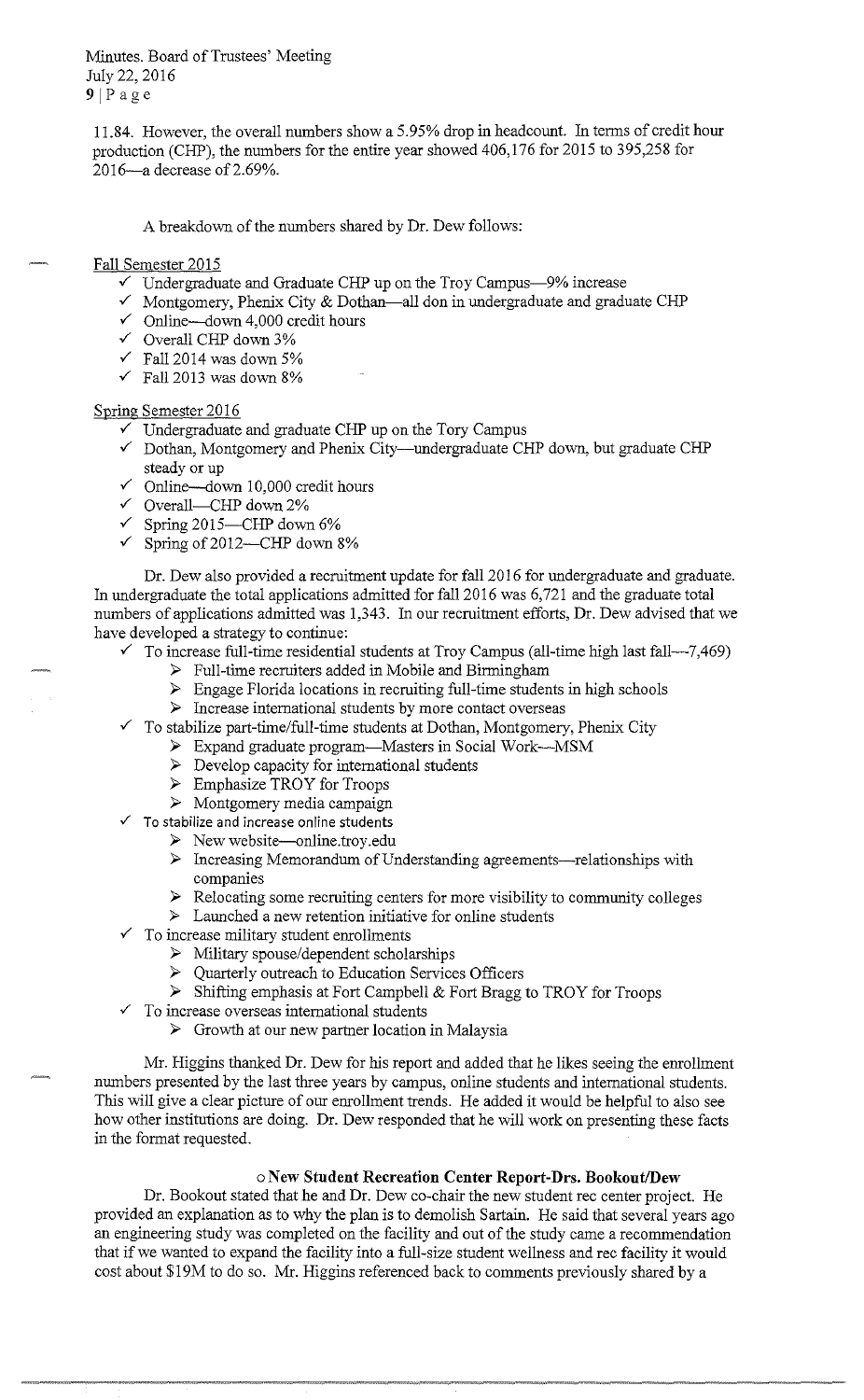Minutes. Board of Trustees' Meeting July 22, 2016  $9$ |Page

11.84. However, the overall numbers show a 5.95% drop in headcount. In terms of credit hour production (CHP), the numbers for the entire year showed 406,176 for 2015 to 395,258 for 2016-a decrease of 2.69%.

A breakdown of the numbers shared by Dr. Dew follows:

#### Fall Semester 2015

- Undergraduate and Graduate CHP up on the Troy Campus-9% increase
- ✓ Montgomery, Phenix City & Dothan-all don in undergraduate and graduate CHP
- $\checkmark$  Online—down 4,000 credit hours
- $\checkmark$  Overall CHP down 3%
- $\checkmark$  Fall 2014 was down 5%
- $\checkmark$  Fall 2013 was down 8%

#### Spring Semester 2016

- $\checkmark$  Undergraduate and graduate CHP up on the Tory Campus
- ✓ Dothan, Montgomery and Phenix City-undergraduate CHP down, but graduate CHP steady or up
- $\checkmark$  Online—down 10,000 credit hours
- $\checkmark$  Overall—CHP down 2%
- $\checkmark$  Spring 2015—CHP down 6%
- $\checkmark$  Spring of 2012—CHP down 8%

Dr. Dew also provided a recruitment update for fall 2016 for undergraduate and graduate. In undergraduate the total applications admitted for fall 2016 was 6,721 and the graduate total numbers of applications admitted was 1,343. In our recruitment efforts, Dr. Dew advised that we have developed a strategy to continue:

- $\checkmark$  To increase full-time residential students at Troy Campus (all-time high last fall—7,469)
	- ► Full-time recruiters added in Mobile and Birmingham
	- ► Engage Florida locations in recruiting full-time students in high schools
	- ► Increase international students by more contact overseas
- $\checkmark$  To stabilize part-time/full-time students at Dothan, Montgomery, Phenix City
	- ► Expand graduate program-Masters in Social W ork-MSM
		- ► Develop capacity for international students
		- ► Emphasize TROY for Troops
		- ► Montgomery media campaign
- To stabilize and increase online students
	- ► New [website--online.troy.edu](https://website--online.troy.edu)
	- ► Increasing Memorandum of Understanding agreements-relationships with companies
	- ► Relocating some recruiting centers for more visibility to community colleges
	- ► Launched a new retention initiative for online students
	- To increase military student enrollments
		- ► Military spouse/dependent scholarships
		- ► Quarterly outreach to Education Services Officers
		- ► Shifting emphasis at Fort Campbell & Fort Bragg to TROY for Troops
- $\checkmark$  To increase overseas international students

---------- ~~= = . -- ---- ---- ·- <sup>~</sup>- . "

► Growth at our new partner location in Malaysia

Mr. Higgins thanked Dr. Dew for his report and added that he likes seeing the enrollment numbers presented by the last three years by campus, online students and international students. This will give a clear picture of our enrollment trends. He added it would be helpful to also see how other institutions are doing. Dr. Dew responded that he will work on presenting these facts in the format requested.

## o **New Student Recreation Center Report-Drs. Bookout/Dew**

Dr. Bookout stated that he and Dr. Dew co-chair the new student rec center project. He provided an explanation as to why the plan is to demolish Sartain. He said that several years ago an engineering study was completed on the facility and out of the study came a recommendation that if we wanted to expand the facility into a full-size student wellness and rec facility it would cost about \$19M to do so. Mr. Higgins referenced back to comments previously shared by a